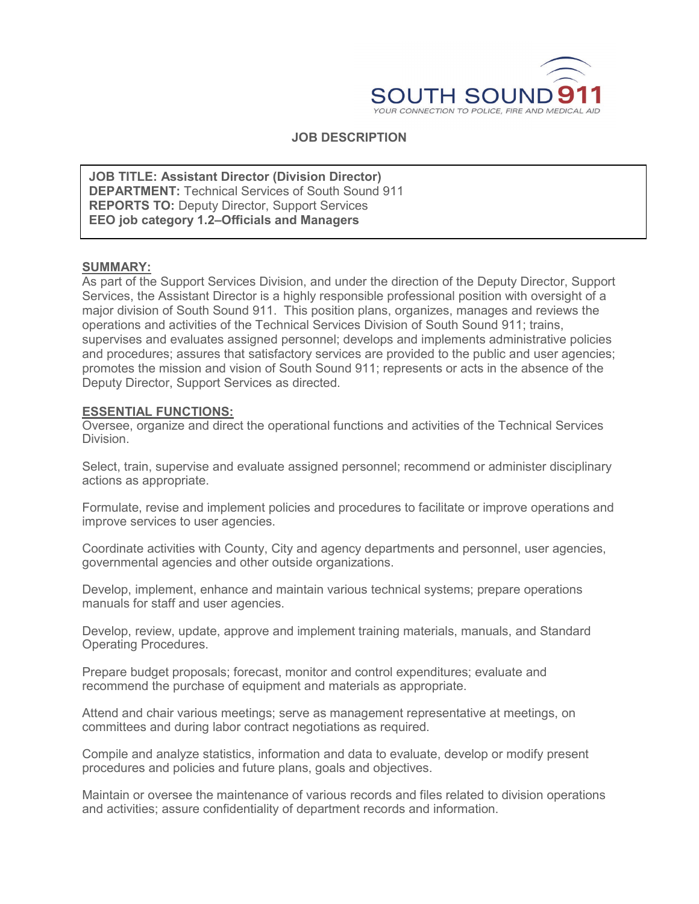

## **JOB DESCRIPTION**

**DEPARTMENT:** Technical Services of South Sound 911 **JOB TITLE: Assistant Director (Division Director) REPORTS TO:** Deputy Director, Support Services **EEO job category 1.2–Officials and Managers**

#### **SUMMARY:**

As part of the Support Services Division, and under the direction of the Deputy Director, Support Services, the Assistant Director is a highly responsible professional position with oversight of a major division of South Sound 911. This position plans, organizes, manages and reviews the operations and activities of the Technical Services Division of South Sound 911; trains, supervises and evaluates assigned personnel; develops and implements administrative policies and procedures; assures that satisfactory services are provided to the public and user agencies; promotes the mission and vision of South Sound 911; represents or acts in the absence of the Deputy Director, Support Services as directed.

#### **ESSENTIAL FUNCTIONS:**

Oversee, organize and direct the operational functions and activities of the Technical Services Division.

Select, train, supervise and evaluate assigned personnel; recommend or administer disciplinary actions as appropriate.

Formulate, revise and implement policies and procedures to facilitate or improve operations and improve services to user agencies.

Coordinate activities with County, City and agency departments and personnel, user agencies, governmental agencies and other outside organizations.

Develop, implement, enhance and maintain various technical systems; prepare operations manuals for staff and user agencies.

Develop, review, update, approve and implement training materials, manuals, and Standard Operating Procedures.

Prepare budget proposals; forecast, monitor and control expenditures; evaluate and recommend the purchase of equipment and materials as appropriate.

Attend and chair various meetings; serve as management representative at meetings, on committees and during labor contract negotiations as required.

Compile and analyze statistics, information and data to evaluate, develop or modify present procedures and policies and future plans, goals and objectives.

Maintain or oversee the maintenance of various records and files related to division operations and activities; assure confidentiality of department records and information.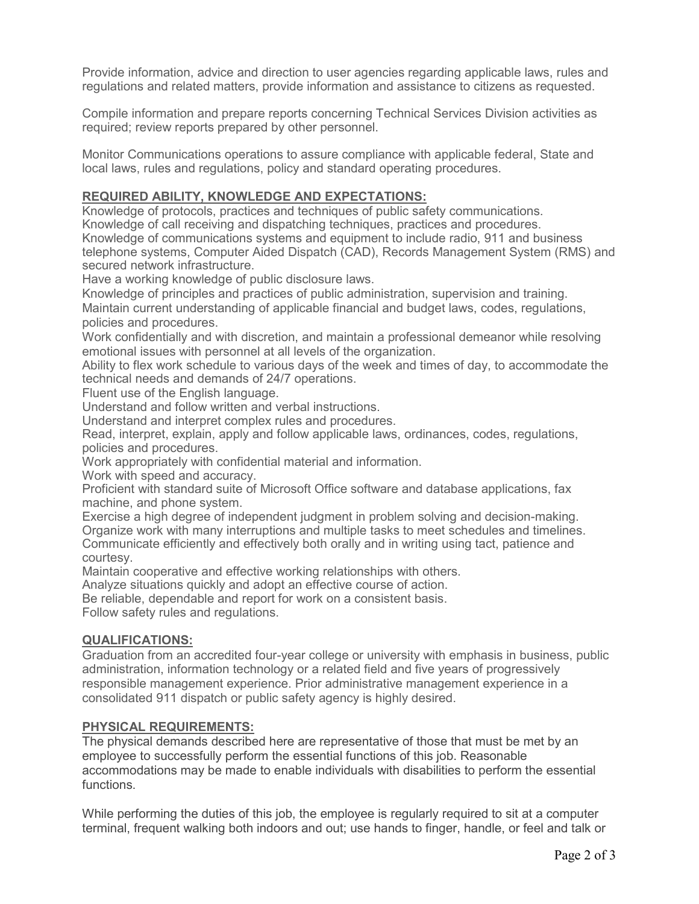Provide information, advice and direction to user agencies regarding applicable laws, rules and regulations and related matters, provide information and assistance to citizens as requested.

Compile information and prepare reports concerning Technical Services Division activities as required; review reports prepared by other personnel.

Monitor Communications operations to assure compliance with applicable federal, State and local laws, rules and regulations, policy and standard operating procedures.

## **REQUIRED ABILITY, KNOWLEDGE AND EXPECTATIONS:**

Knowledge of protocols, practices and techniques of public safety communications. Knowledge of call receiving and dispatching techniques, practices and procedures. Knowledge of communications systems and equipment to include radio, 911 and business telephone systems, Computer Aided Dispatch (CAD), Records Management System (RMS) and secured network infrastructure.

Have a working knowledge of public disclosure laws.

Knowledge of principles and practices of public administration, supervision and training. Maintain current understanding of applicable financial and budget laws, codes, regulations, policies and procedures.

Work confidentially and with discretion, and maintain a professional demeanor while resolving emotional issues with personnel at all levels of the organization.

Ability to flex work schedule to various days of the week and times of day, to accommodate the technical needs and demands of 24/7 operations.

Fluent use of the English language.

Understand and follow written and verbal instructions.

Understand and interpret complex rules and procedures.

Read, interpret, explain, apply and follow applicable laws, ordinances, codes, regulations, policies and procedures.

Work appropriately with confidential material and information.

Work with speed and accuracy.

Proficient with standard suite of Microsoft Office software and database applications, fax machine, and phone system.

Exercise a high degree of independent judgment in problem solving and decision-making. Organize work with many interruptions and multiple tasks to meet schedules and timelines. Communicate efficiently and effectively both orally and in writing using tact, patience and courtesy.

Maintain cooperative and effective working relationships with others.

Analyze situations quickly and adopt an effective course of action.

Be reliable, dependable and report for work on a consistent basis.

Follow safety rules and regulations.

#### **QUALIFICATIONS:**

Graduation from an accredited four-year college or university with emphasis in business, public administration, information technology or a related field and five years of progressively responsible management experience. Prior administrative management experience in a consolidated 911 dispatch or public safety agency is highly desired.

#### **PHYSICAL REQUIREMENTS:**

The physical demands described here are representative of those that must be met by an employee to successfully perform the essential functions of this job. Reasonable accommodations may be made to enable individuals with disabilities to perform the essential functions.

While performing the duties of this job, the employee is regularly required to sit at a computer terminal, frequent walking both indoors and out; use hands to finger, handle, or feel and talk or